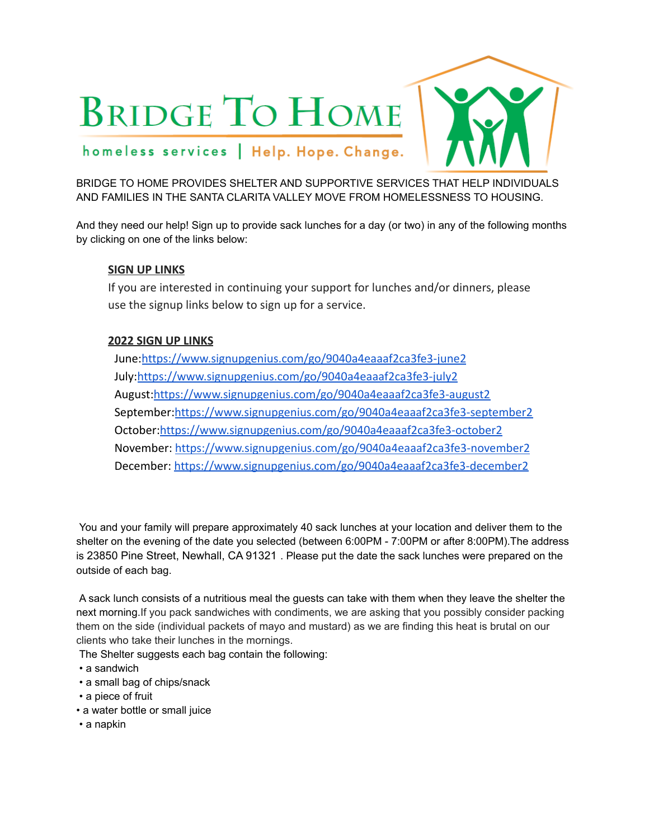# **BRIDGE TO HOME**

### homeless services | Help. Hope. Change.

#### BRIDGE TO HOME PROVIDES SHELTER AND SUPPORTIVE SERVICES THAT HELP INDIVIDUALS AND FAMILIES IN THE SANTA CLARITA VALLEY MOVE FROM HOMELESSNESS TO HOUSING.

And they need our help! Sign up to provide sack lunches for a day (or two) in any of the following months by clicking on one of the links below:

#### **SIGN UP LINKS**

If you are interested in continuing your support for lunches and/or dinners, please use the signup links below to sign up for a service.

#### **2022 SIGN UP LINKS**

June:<https://www.signupgenius.com/go/9040a4eaaaf2ca3fe3-june2> July:<https://www.signupgenius.com/go/9040a4eaaaf2ca3fe3-july2> August:<https://www.signupgenius.com/go/9040a4eaaaf2ca3fe3-august2> September:<https://www.signupgenius.com/go/9040a4eaaaf2ca3fe3-september2> October:<https://www.signupgenius.com/go/9040a4eaaaf2ca3fe3-october2> November: <https://www.signupgenius.com/go/9040a4eaaaf2ca3fe3-november2> December: <https://www.signupgenius.com/go/9040a4eaaaf2ca3fe3-december2>

You and your family will prepare approximately 40 sack lunches at your location and deliver them to the shelter on the evening of the date you selected (between 6:00PM - 7:00PM or after 8:00PM).The address is 23850 Pine Street, Newhall, CA 91321 . Please put the date the sack lunches were prepared on the outside of each bag.

A sack lunch consists of a nutritious meal the guests can take with them when they leave the shelter the next morning.If you pack sandwiches with condiments, we are asking that you possibly consider packing them on the side (individual packets of mayo and mustard) as we are finding this heat is brutal on our clients who take their lunches in the mornings.

The Shelter suggests each bag contain the following:

- a sandwich
- a small bag of chips/snack
- a piece of fruit
- a water bottle or small juice
- a napkin